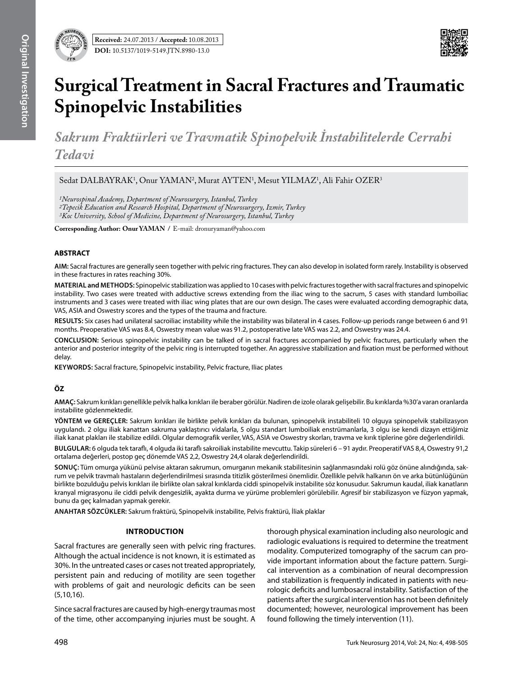

# **Surgical Treatment in Sacral Fractures and Traumatic Spinopelvic Instabilities**

*Sakrum Fraktürleri ve Travmatik Spinopelvik İnstabilitelerde Cerrahi Tedavi*

Sedat DALBAYRAK<sup>1</sup>, Onur YAMAN<sup>2</sup>, Murat AYTEN<sup>1</sup>, Mesut YILMAZ<sup>1</sup>, Ali Fahir OZER<sup>3</sup>

*1Neurospinal Academy, Department of Neurosurgery, Istanbul, Turkey*

*2Tepecik Education and Research Hospital, Department of Neurosurgery, Izmir, Turkey 3Koc University, School of Medicine, Department of Neurosurgery, Istanbul, Turkey*

**Corresponding Author: Onur Yaman /** E-mail: dronuryaman@yahoo.com

# **ABSTRACT**

**AIm:** Sacral fractures are generally seen together with pelvic ring fractures. They can also develop in isolated form rarely. Instability is observed in these fractures in rates reaching 30%.

**MaterIal and Methods:** Spinopelvic stabilization was applied to 10 cases with pelvic fractures together with sacral fractures and spinopelvic instability. Two cases were treated with adductive screws extending from the iliac wing to the sacrum, 5 cases with standard lumboiliac instruments and 3 cases were treated with iliac wing plates that are our own design. The cases were evaluated according demographic data, VAS, ASIA and Oswestry scores and the types of the trauma and fracture.

**Results:** Six cases had unilateral sacroiliac instability while the instability was bilateral in 4 cases. Follow-up periods range between 6 and 91 months. Preoperative VAS was 8.4, Oswestry mean value was 91.2, postoperative late VAS was 2.2, and Oswestry was 24.4.

**ConclusIon:** Serious spinopelvic instability can be talked of in sacral fractures accompanied by pelvic fractures, particularly when the anterior and posterior integrity of the pelvic ring is interrupted together. An aggressive stabilization and fixation must be performed without delay.

**Keywords:** Sacral fracture, Spinopelvic instability, Pelvic fracture, Iliac plates

# **ÖZ**

**AMAÇ:** Sakrum kırıkları genellikle pelvik halka kırıkları ile beraber görülür. Nadiren de izole olarak gelişebilir. Bu kırıklarda %30'a varan oranlarda instabilite gözlenmektedir.

**YÖNTEM ve GEREÇLER:** Sakrum kırıkları ile birlikte pelvik kırıkları da bulunan, spinopelvik instabiliteli 10 olguya spinopelvik stabilizasyon uygulandı. 2 olgu iliak kanattan sakruma yaklaştırıcı vidalarla, 5 olgu standart lumboiliak enstrümanlarla, 3 olgu ise kendi dizayn ettiğimiz iliak kanat plakları ile stabilize edildi. Olgular demografik veriler, VAS, ASIA ve Oswestry skorları, travma ve kırık tiplerine göre değerlendirildi.

**BULGULAR:** 6 olguda tek taraflı, 4 olguda iki taraflı sakroiliak instabilite mevcuttu. Takip süreleri 6 – 91 aydır. Preoperatif VAS 8,4, Oswestry 91,2 ortalama değerleri, postop geç dönemde VAS 2,2, Oswestry 24,4 olarak değerlendirildi.

**SONUÇ:** Tüm omurga yükünü pelvise aktaran sakrumun, omurganın mekanik stabilitesinin sağlanmasındaki rolü göz önüne alındığında, sakrum ve pelvik travmalı hastaların değerlendirilmesi sırasında titizlik gösterilmesi önemlidir. Özellikle pelvik halkanın ön ve arka bütünlüğünün birlikte bozulduğu pelvis kırıkları ile birlikte olan sakral kırıklarda ciddi spinopelvik instabilite söz konusudur. Sakrumun kaudal, iliak kanatların kranyal migrasyonu ile ciddi pelvik dengesizlik, ayakta durma ve yürüme problemleri görülebilir. Agresif bir stabilizasyon ve füzyon yapmak, bunu da geç kalmadan yapmak gerekir.

**ANAHTAR SÖZCÜKLER:** Sakrum fraktürü, Spinopelvik instabilite, Pelvis fraktürü, İliak plaklar

# **Introduction**

Sacral fractures are generally seen with pelvic ring fractures. Although the actual incidence is not known, it is estimated as 30%. In the untreated cases or cases not treated appropriately, persistent pain and reducing of motility are seen together with problems of gait and neurologic deficits can be seen (5,10,16).

Since sacral fractures are caused by high-energy traumas most of the time, other accompanying injuries must be sought. A

thorough physical examination including also neurologic and radiologic evaluations is required to determine the treatment modality. Computerized tomography of the sacrum can provide important information about the facture pattern. Surgical intervention as a combination of neural decompression and stabilization is frequently indicated in patients with neurologic deficits and lumbosacral instability. Satisfaction of the patients after the surgical intervention has not been definitely documented; however, neurological improvement has been found following the timely intervention (11).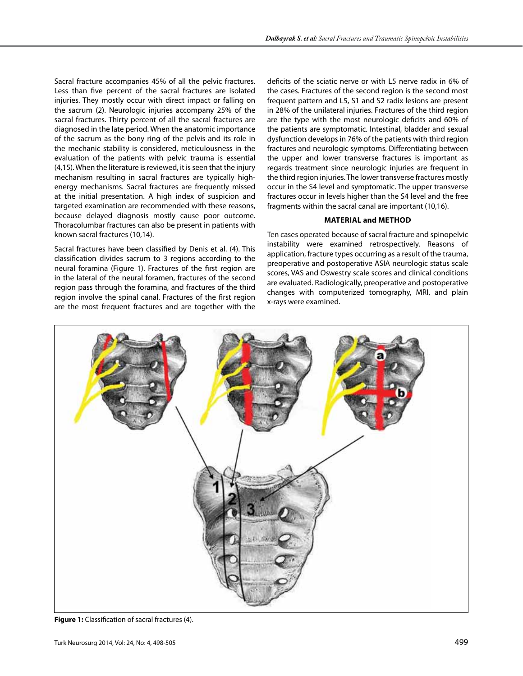Sacral fracture accompanies 45% of all the pelvic fractures. Less than five percent of the sacral fractures are isolated injuries. They mostly occur with direct impact or falling on the sacrum (2). Neurologic injuries accompany 25% of the sacral fractures. Thirty percent of all the sacral fractures are diagnosed in the late period. When the anatomic importance of the sacrum as the bony ring of the pelvis and its role in the mechanic stability is considered, meticulousness in the evaluation of the patients with pelvic trauma is essential (4,15). When the literature is reviewed, it is seen that the injury mechanism resulting in sacral fractures are typically highenergy mechanisms. Sacral fractures are frequently missed at the initial presentation. A high index of suspicion and targeted examination are recommended with these reasons, because delayed diagnosis mostly cause poor outcome. Thoracolumbar fractures can also be present in patients with known sacral fractures (10,14).

Sacral fractures have been classified by Denis et al. (4). This classification divides sacrum to 3 regions according to the neural foramina (Figure 1). Fractures of the first region are in the lateral of the neural foramen, fractures of the second region pass through the foramina, and fractures of the third region involve the spinal canal. Fractures of the first region are the most frequent fractures and are together with the

deficits of the sciatic nerve or with L5 nerve radix in 6% of the cases. Fractures of the second region is the second most frequent pattern and L5, S1 and S2 radix lesions are present in 28% of the unilateral injuries. Fractures of the third region are the type with the most neurologic deficits and 60% of the patients are symptomatic. Intestinal, bladder and sexual dysfunction develops in 76% of the patients with third region fractures and neurologic symptoms. Differentiating between the upper and lower transverse fractures is important as regards treatment since neurologic injuries are frequent in the third region injuries. The lower transverse fractures mostly occur in the S4 level and symptomatic. The upper transverse fractures occur in levels higher than the S4 level and the free fragments within the sacral canal are important (10,16).

## **Material and Method**

Ten cases operated because of sacral fracture and spinopelvic instability were examined retrospectively. Reasons of application, fracture types occurring as a result of the trauma, preoperative and postoperative ASIA neurologic status scale scores, VAS and Oswestry scale scores and clinical conditions are evaluated. Radiologically, preoperative and postoperative changes with computerized tomography, MRI, and plain x-rays were examined.



**Figure 1:** Classification of sacral fractures (4).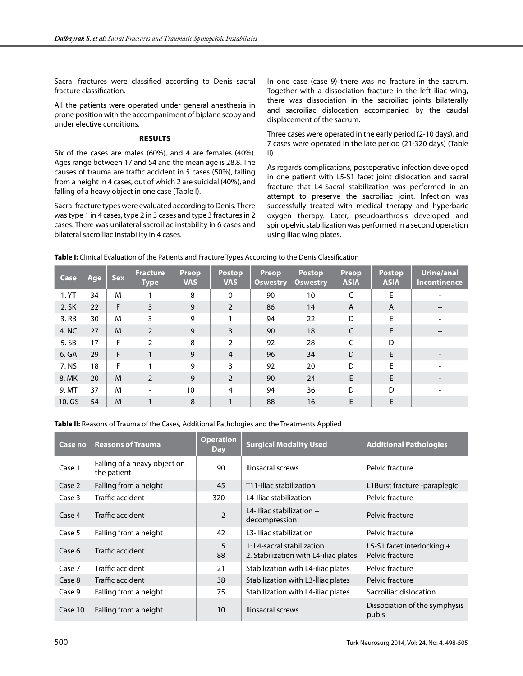Sacral fractures were classified according to Denis sacral fracture classification.

All the patients were operated under general anesthesia in prone position with the accompaniment of biplane scopy and under elective conditions.

## **Results**

Six of the cases are males (60%), and 4 are females (40%). Ages range between 17 and 54 and the mean age is 28.8. The causes of trauma are traffic accident in 5 cases (50%), falling from a height in 4 cases, out of which 2 are suicidal (40%), and falling of a heavy object in one case (Table I).

Sacral fracture types were evaluated according to Denis. There was type 1 in 4 cases, type 2 in 3 cases and type 3 fractures in 2 cases. There was unilateral sacroiliac instability in 6 cases and bilateral sacroiliac instability in 4 cases.

In one case (case 9) there was no fracture in the sacrum. Together with a dissociation fracture in the left iliac wing, there was dissociation in the sacroiliac joints bilaterally and sacroiliac dislocation accompanied by the caudal displacement of the sacrum.

Three cases were operated in the early period (2-10 days), and 7 cases were operated in the late period (21-320 days) (Table II).

As regards complications, postoperative infection developed in one patient with L5-S1 facet joint dislocation and sacral fracture that L4-Sacral stabilization was performed in an attempt to preserve the sacroiliac joint. Infection was successfully treated with medical therapy and hyperbaric oxygen therapy. Later, pseudoarthrosis developed and spinopelvic stabilization was performed in a second operation using iliac wing plates.

| Case   | Age | <b>Sex</b> | <b>Fracture</b><br><b>Type</b> | Preop<br><b>VAS</b> | <b>Postop</b><br><b>VAS</b> | Preop<br><b>Oswestry</b> | <b>Postop</b><br><b>Oswestry</b> | <b>Preop</b><br><b>ASIA</b> | <b>Postop</b><br><b>ASIA</b> | <b>Urine/anal</b><br><b>Incontinence</b> |
|--------|-----|------------|--------------------------------|---------------------|-----------------------------|--------------------------|----------------------------------|-----------------------------|------------------------------|------------------------------------------|
| 1. YT  | 34  | M          |                                | 8                   | $\mathbf{0}$                | 90                       | 10                               | C                           | E                            |                                          |
| 2. SK  | 22  | F          | 3                              | 9                   | $\overline{2}$              | 86                       | 14                               | A                           | A                            | $+$                                      |
| 3. RB  | 30  | M          | 3                              | 9                   |                             | 94                       | 22                               | D                           | E                            |                                          |
| 4. NC  | 27  | M          | 2                              | 9                   | 3                           | 90                       | 18                               | C                           | E                            | $+$                                      |
| 5. SB  | 17  | F          | $\mathfrak{D}$                 | 8                   | 2                           | 92                       | 28                               | C                           | D                            | $+$                                      |
| 6. GA  | 29  | F          | 1                              | 9                   | $\overline{4}$              | 96                       | 34                               | D                           | E                            |                                          |
| 7. NS  | 18  | F          |                                | 9                   | 3                           | 92                       | 20                               | D                           | F                            |                                          |
| 8. MK  | 20  | M          | $\overline{2}$                 | 9                   | $\overline{2}$              | 90                       | 24                               | E                           | E                            |                                          |
| 9. MT  | 37  | M          | ۰                              | 10                  | 4                           | 94                       | 36                               | D                           | D                            |                                          |
| 10. GS | 54  | M          |                                | 8                   |                             | 88                       | 16                               | E                           | F                            |                                          |

**Table I:** Clinical Evaluation of the Patients and Fracture Types According to the Denis Classification

**Table II:** Reasons of Trauma of the Cases, Additional Pathologies and the Treatments Applied

| Case no | <b>Reasons of Trauma</b>                    | <b>Operation</b><br><b>Day</b> | <b>Surgical Modality Used</b>                                       | <b>Additional Pathologies</b>                   |  |
|---------|---------------------------------------------|--------------------------------|---------------------------------------------------------------------|-------------------------------------------------|--|
| Case 1  | Falling of a heavy object on<br>the patient | 90                             | Iliosacral screws                                                   | Pelvic fracture                                 |  |
| Case 2  | Falling from a height                       | 45                             | T11-Iliac stabilization                                             | L1Burst fracture -paraplegic                    |  |
| Case 3  | Traffic accident                            | 320                            | 14-Iliac stabilization                                              | Pelvic fracture                                 |  |
| Case 4  | Traffic accident                            | 2                              | L4-Iliac stabilization $+$<br>decompression                         | Pelvic fracture                                 |  |
| Case 5  | Falling from a height                       | 42                             | L <sub>3</sub> -Iliac stabilization                                 | Pelvic fracture                                 |  |
| Case 6  | Traffic accident                            | 5<br>88                        | 1: L4-sacral stabilization<br>2. Stabilization with L4-iliac plates | L5-S1 facet interlocking $+$<br>Pelvic fracture |  |
| Case 7  | Traffic accident                            | 21                             | Stabilization with L4-iliac plates                                  | Pelvic fracture                                 |  |
| Case 8  | Traffic accident                            | 38                             | Stabilization with L3-Iliac plates                                  | Pelvic fracture                                 |  |
| Case 9  | Falling from a height                       | 75                             | Stabilization with L4-iliac plates                                  | Sacroiliac dislocation                          |  |
| Case 10 | Falling from a height                       | 10                             | Iliosacral screws                                                   | Dissociation of the symphysis<br>pubis          |  |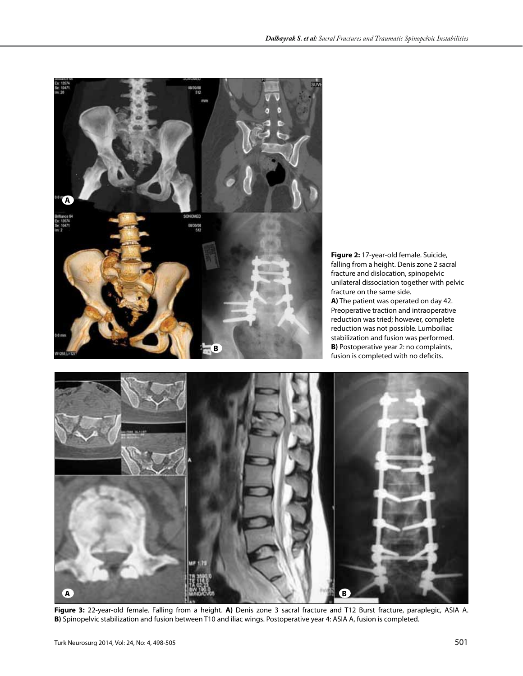

**Figure 2:** 17-year-old female. Suicide, falling from a height. Denis zone 2 sacral fracture and dislocation, spinopelvic unilateral dissociation together with pelvic fracture on the same side. **A)** The patient was operated on day 42. Preoperative traction and intraoperative reduction was tried; however, complete reduction was not possible. Lumboiliac stabilization and fusion was performed.



**Figure 3:** 22-year-old female. Falling from a height. **A)** Denis zone 3 sacral fracture and T12 Burst fracture, paraplegic, ASIA A. **B)** Spinopelvic stabilization and fusion between T10 and iliac wings. Postoperative year 4: ASIA A, fusion is completed.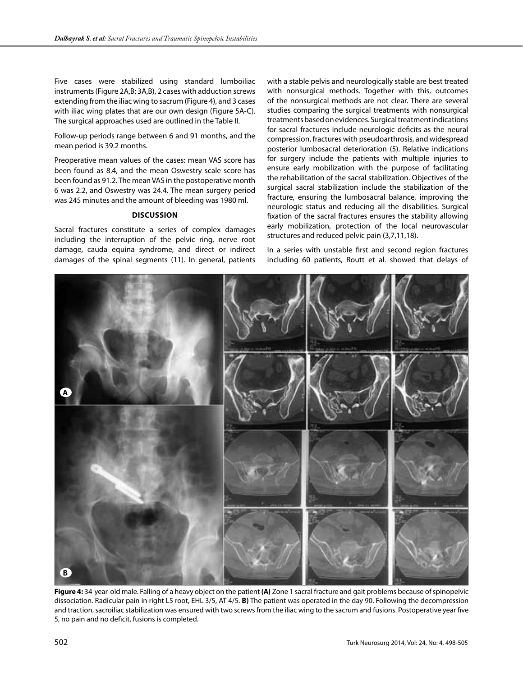Five cases were stabilized using standard lumboiliac instruments (Figure 2A,B; 3A,B), 2 cases with adduction screws extending from the iliac wing to sacrum (Figure 4), and 3 cases with iliac wing plates that are our own design (Figure 5A-C). The surgical approaches used are outlined in the Table II.

Follow-up periods range between 6 and 91 months, and the mean period is 39.2 months.

Preoperative mean values of the cases: mean VAS score has been found as 8.4, and the mean Oswestry scale score has been found as 91.2. The mean VAS in the postoperative month 6 was 2.2, and Oswestry was 24.4. The mean surgery period was 245 minutes and the amount of bleeding was 1980 ml.

#### **Discussion**

Sacral fractures constitute a series of complex damages including the interruption of the pelvic ring, nerve root damage, cauda equina syndrome, and direct or indirect damages of the spinal segments (11). In general, patients with a stable pelvis and neurologically stable are best treated with nonsurgical methods. Together with this, outcomes of the nonsurgical methods are not clear. There are several studies comparing the surgical treatments with nonsurgical treatments based on evidences. Surgical treatment indications for sacral fractures include neurologic deficits as the neural compression, fractures with pseudoarthrosis, and widespread posterior lumbosacral deterioration (5). Relative indications for surgery include the patients with multiple injuries to ensure early mobilization with the purpose of facilitating the rehabilitation of the sacral stabilization. Objectives of the surgical sacral stabilization include the stabilization of the fracture, ensuring the lumbosacral balance, improving the neurologic status and reducing all the disabilities. Surgical fixation of the sacral fractures ensures the stability allowing early mobilization, protection of the local neurovascular structures and reduced pelvic pain (3,7,11,18).

In a series with unstable first and second region fractures including 60 patients, Routt et al. showed that delays of



**Figure 4:** 34-year-old male. Falling of a heavy object on the patient **(A)** Zone 1 sacral fracture and gait problems because of spinopelvic dissociation. Radicular pain in right L5 root, EHL 3/5, AT 4/5. **B)** The patient was operated in the day 90. Following the decompression and traction, sacroiliac stabilization was ensured with two screws from the iliac wing to the sacrum and fusions. Postoperative year five 5, no pain and no deficit, fusions is completed.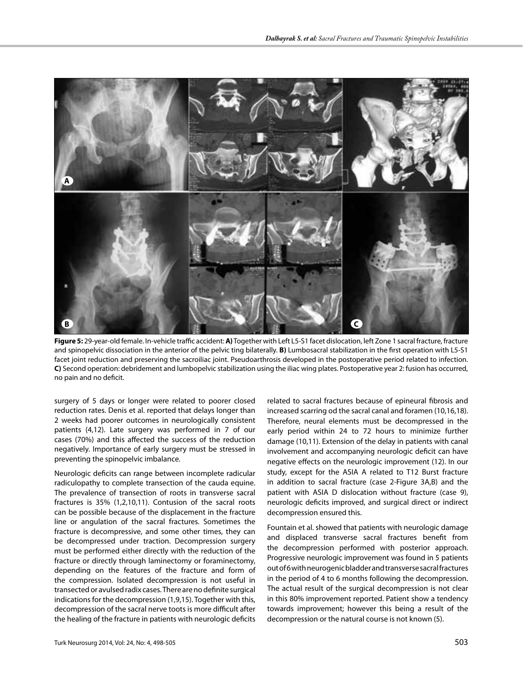

**Figure 5:** 29-year-old female. In-vehicle traffic accident: **A)** Together with Left L5-S1 facet dislocation, left Zone 1 sacral fracture, fracture and spinopelvic dissociation in the anterior of the pelvic ting bilaterally. **B)** Lumbosacral stabilization in the first operation with L5-S1 facet joint reduction and preserving the sacroiliac joint. Pseudoarthrosis developed in the postoperative period related to infection. **C)** Second operation: debridement and lumbopelvic stabilization using the iliac wing plates. Postoperative year 2: fusion has occurred, no pain and no deficit.

surgery of 5 days or longer were related to poorer closed reduction rates. Denis et al. reported that delays longer than 2 weeks had poorer outcomes in neurologically consistent patients (4,12). Late surgery was performed in 7 of our cases (70%) and this affected the success of the reduction negatively. Importance of early surgery must be stressed in preventing the spinopelvic imbalance.

Neurologic deficits can range between incomplete radicular radiculopathy to complete transection of the cauda equine. The prevalence of transection of roots in transverse sacral fractures is 35% (1,2,10,11). Contusion of the sacral roots can be possible because of the displacement in the fracture line or angulation of the sacral fractures. Sometimes the fracture is decompressive, and some other times, they can be decompressed under traction. Decompression surgery must be performed either directly with the reduction of the fracture or directly through laminectomy or foraminectomy, depending on the features of the fracture and form of the compression. Isolated decompression is not useful in transected or avulsed radix cases. There are no definite surgical indications for the decompression (1,9,15). Together with this, decompression of the sacral nerve toots is more difficult after the healing of the fracture in patients with neurologic deficits

related to sacral fractures because of epineural fibrosis and increased scarring od the sacral canal and foramen (10,16,18). Therefore, neural elements must be decompressed in the early period within 24 to 72 hours to minimize further damage (10,11). Extension of the delay in patients with canal involvement and accompanying neurologic deficit can have negative effects on the neurologic improvement (12). In our study, except for the ASIA A related to T12 Burst fracture in addition to sacral fracture (case 2-Figure 3A,B) and the patient with ASIA D dislocation without fracture (case 9), neurologic deficits improved, and surgical direct or indirect decompression ensured this.

Fountain et al. showed that patients with neurologic damage and displaced transverse sacral fractures benefit from the decompression performed with posterior approach. Progressive neurologic improvement was found in 5 patients out of 6 with neurogenic bladder and transverse sacral fractures in the period of 4 to 6 months following the decompression. The actual result of the surgical decompression is not clear in this 80% improvement reported. Patient show a tendency towards improvement; however this being a result of the decompression or the natural course is not known (5).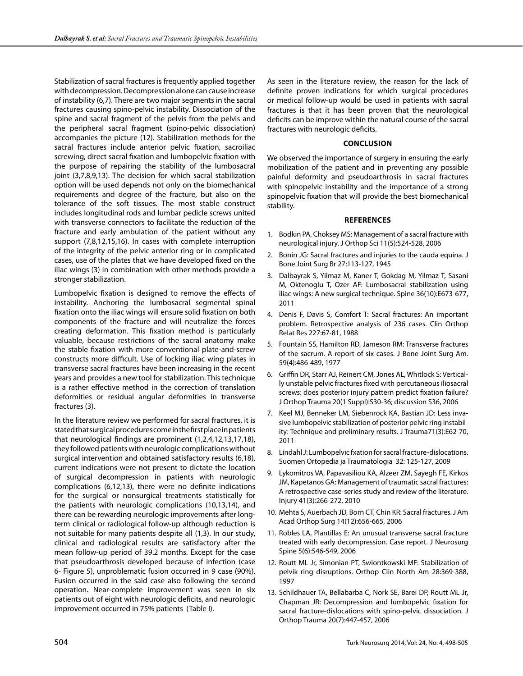Stabilization of sacral fractures is frequently applied together with decompression. Decompression alone can cause increase of instability (6,7). There are two major segments in the sacral fractures causing spino-pelvic instability. Dissociation of the spine and sacral fragment of the pelvis from the pelvis and the peripheral sacral fragment (spino-pelvic dissociation) accompanies the picture (12). Stabilization methods for the sacral fractures include anterior pelvic fixation, sacroiliac screwing, direct sacral fixation and lumbopelvic fixation with the purpose of repairing the stability of the lumbosacral joint (3,7,8,9,13). The decision for which sacral stabilization option will be used depends not only on the biomechanical requirements and degree of the fracture, but also on the tolerance of the soft tissues. The most stable construct includes longitudinal rods and lumbar pedicle screws united with transverse connectors to facilitate the reduction of the fracture and early ambulation of the patient without any support (7,8,12,15,16). In cases with complete interruption of the integrity of the pelvic anterior ring or in complicated cases, use of the plates that we have developed fixed on the iliac wings (3) in combination with other methods provide a stronger stabilization.

Lumbopelvic fixation is designed to remove the effects of instability. Anchoring the lumbosacral segmental spinal fixation onto the iliac wings will ensure solid fixation on both components of the fracture and will neutralize the forces creating deformation. This fixation method is particularly valuable, because restrictions of the sacral anatomy make the stable fixation with more conventional plate-and-screw constructs more difficult. Use of locking iliac wing plates in transverse sacral fractures have been increasing in the recent years and provides a new tool for stabilization. This technique is a rather effective method in the correction of translation deformities or residual angular deformities in transverse fractures (3).

In the literature review we performed for sacral fractures, it is stated that surgical procedures come in the first place in patients that neurological findings are prominent (1,2,4,12,13,17,18), they followed patients with neurologic complications without surgical intervention and obtained satisfactory results (6,18), current indications were not present to dictate the location of surgical decompression in patients with neurologic complications (6,12,13), there were no definite indications for the surgical or nonsurgical treatments statistically for the patients with neurologic complications (10,13,14), and there can be rewarding neurologic improvements after longterm clinical or radiological follow-up although reduction is not suitable for many patients despite all (1,3). In our study, clinical and radiological results are satisfactory after the mean follow-up period of 39.2 months. Except for the case that pseudoarthrosis developed because of infection (case 6- Figure 5), unproblematic fusion occurred in 9 case (90%). Fusion occurred in the said case also following the second operation. Near-complete improvement was seen in six patients out of eight with neurologic deficits, and neurologic improvement occurred in 75% patients (Table I).

As seen in the literature review, the reason for the lack of definite proven indications for which surgical procedures or medical follow-up would be used in patients with sacral fractures is that it has been proven that the neurological deficits can be improve within the natural course of the sacral fractures with neurologic deficits.

#### **Conclusion**

We observed the importance of surgery in ensuring the early mobilization of the patient and in preventing any possible painful deformity and pseudoarthrosis in sacral fractures with spinopelvic instability and the importance of a strong spinopelvic fixation that will provide the best biomechanical stability.

## **References**

- 1. Bodkin PA, Choksey MS: Management of a sacral fracture with neurological injury. J Orthop Sci 11(5):524-528, 2006
- 2. Bonin JG: Sacral fractures and injuries to the cauda equina. J Bone Joint Surg Br 27:113-127, 1945
- 3. Dalbayrak S, Yilmaz M, Kaner T, Gokdag M, Yilmaz T, Sasani M, Oktenoglu T, Ozer AF: Lumbosacral stabilization using iliac wings: A new surgical technique. Spine 36(10):E673-677, 2011
- 4. Denis F, Davis S, Comfort T: Sacral fractures: An important problem. Retrospective analysis of 236 cases. Clin Orthop Relat Res 227:67-81, 1988
- 5. Fountain SS, Hamilton RD, Jameson RM: Transverse fractures of the sacrum. A report of six cases. J Bone Joint Surg Am. 59(4):486-489, 1977
- 6. Griffin DR, Starr AJ, Reinert CM, Jones AL, Whitlock S: Vertically unstable pelvic fractures fixed with percutaneous iliosacral screws: does posterior injury pattern predict fixation failure? J Orthop Trauma 20(1 Suppl):S30-36; discussion S36, 2006
- 7. Keel MJ, Benneker LM, Siebenrock KA, Bastian JD: Less invasive lumbopelvic stabilization of posterior pelvic ring instability: Technique and preliminary results. J Trauma71(3):E62-70, 2011
- 8. Lindahl J: Lumbopelvic fxation for sacral fracture-dislocations. Suomen Ortopedia ja Traumatologia 32: 125-127, 2009
- 9. Lykomitros VA, Papavasiliou KA, Alzeer ZM, Sayegh FE, Kirkos JM, Kapetanos GA: Management of traumatic sacral fractures: A retrospective case-series study and review of the literature. Injury 41(3):266-272, 2010
- 10. Mehta S, Auerbach JD, Born CT, Chin KR: Sacral fractures. J Am Acad Orthop Surg 14(12):656-665, 2006
- 11. Robles LA, Plantillas E: An unusual transverse sacral fracture treated with early decompression. Case report. J Neurosurg Spine 5(6):546-549, 2006
- 12. Routt ML Jr, Simonian PT, Swiontkowski MF: Stabilization of pelvik ring disruptions. Orthop Clin North Am 28:369-388, 1997
- 13. Schildhauer TA, Bellabarba C, Nork SE, Barei DP, Routt ML Jr, Chapman JR: Decompression and lumbopelvic fixation for sacral fracture-dislocations with spino-pelvic dissociation. J Orthop Trauma 20(7):447-457, 2006